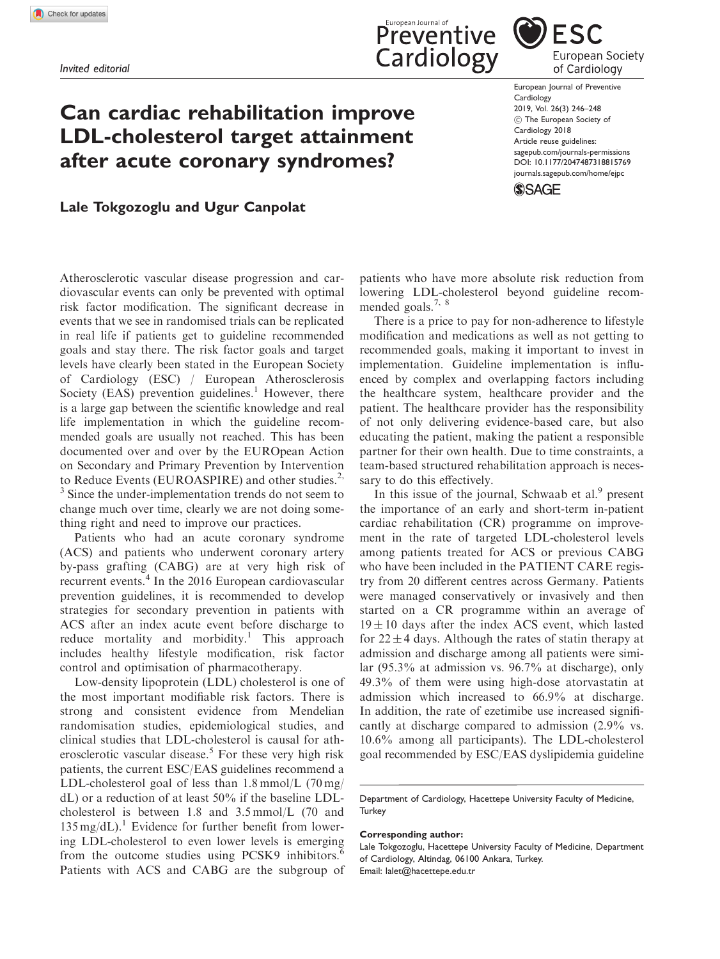# Can cardiac rehabilitation improve LDL-cholesterol target attainment after acute coronary syndromes?

## **ESC** European Society of Cardiology

European Journal of Preventive Cardiology 2019, Vol. 26(3) 246–248 (c) The European Society of Cardiology 2018 Article reuse guidelines: [sagepub.com/journals-permissions](https://uk.sagepub.com/en-gb/journals-permissions) DOI: [10.1177/2047487318815769](https://doi.org/10.1177/2047487318815769) <journals.sagepub.com/home/ejpc>

**SSAGE** 

### Lale Tokgozoglu and Ugur Canpolat

Atherosclerotic vascular disease progression and cardiovascular events can only be prevented with optimal risk factor modification. The significant decrease in events that we see in randomised trials can be replicated in real life if patients get to guideline recommended goals and stay there. The risk factor goals and target levels have clearly been stated in the European Society of Cardiology (ESC) / European Atherosclerosis Society (EAS) prevention guidelines. $<sup>1</sup>$  However, there</sup> is a large gap between the scientific knowledge and real life implementation in which the guideline recommended goals are usually not reached. This has been documented over and over by the EUROpean Action on Secondary and Primary Prevention by Intervention to Reduce Events (EUROASPIRE) and other studies.<sup>2,</sup> <sup>3</sup> Since the under-implementation trends do not seem to change much over time, clearly we are not doing some-

Patients who had an acute coronary syndrome (ACS) and patients who underwent coronary artery by-pass grafting (CABG) are at very high risk of recurrent events.<sup>4</sup> In the 2016 European cardiovascular prevention guidelines, it is recommended to develop strategies for secondary prevention in patients with ACS after an index acute event before discharge to reduce mortality and morbidity.<sup>1</sup> This approach includes healthy lifestyle modification, risk factor control and optimisation of pharmacotherapy.

thing right and need to improve our practices.

Low-density lipoprotein (LDL) cholesterol is one of the most important modifiable risk factors. There is strong and consistent evidence from Mendelian randomisation studies, epidemiological studies, and clinical studies that LDL-cholesterol is causal for atherosclerotic vascular disease.<sup>5</sup> For these very high risk patients, the current ESC/EAS guidelines recommend a LDL-cholesterol goal of less than  $1.8 \text{ mmol/L}$  (70 mg/ dL) or a reduction of at least 50% if the baseline LDLcholesterol is between 1.8 and 3.5 mmol/L (70 and  $135 \text{ mg/dL}$ .<sup>1</sup> Evidence for further benefit from lowering LDL-cholesterol to even lower levels is emerging from the outcome studies using PCSK9 inhibitors.<sup>6</sup> Patients with ACS and CABG are the subgroup of

patients who have more absolute risk reduction from lowering LDL-cholesterol beyond guideline recommended goals.<sup>7, 8</sup>

Preventive

Cardiology

There is a price to pay for non-adherence to lifestyle modification and medications as well as not getting to recommended goals, making it important to invest in implementation. Guideline implementation is influenced by complex and overlapping factors including the healthcare system, healthcare provider and the patient. The healthcare provider has the responsibility of not only delivering evidence-based care, but also educating the patient, making the patient a responsible partner for their own health. Due to time constraints, a team-based structured rehabilitation approach is necessary to do this effectively.

In this issue of the journal, Schwaab et al. $9$  present the importance of an early and short-term in-patient cardiac rehabilitation (CR) programme on improvement in the rate of targeted LDL-cholesterol levels among patients treated for ACS or previous CABG who have been included in the PATIENT CARE registry from 20 different centres across Germany. Patients were managed conservatively or invasively and then started on a CR programme within an average of  $19 \pm 10$  days after the index ACS event, which lasted for  $22 \pm 4$  days. Although the rates of statin therapy at admission and discharge among all patients were similar (95.3% at admission vs. 96.7% at discharge), only 49.3% of them were using high-dose atorvastatin at admission which increased to 66.9% at discharge. In addition, the rate of ezetimibe use increased significantly at discharge compared to admission (2.9% vs. 10.6% among all participants). The LDL-cholesterol goal recommended by ESC/EAS dyslipidemia guideline

Department of Cardiology, Hacettepe University Faculty of Medicine, **Turkey** 

#### Corresponding author:

Lale Tokgozoglu, Hacettepe University Faculty of Medicine, Department of Cardiology, Altindag, 06100 Ankara, Turkey. Email: lalet@hacettepe.edu.tr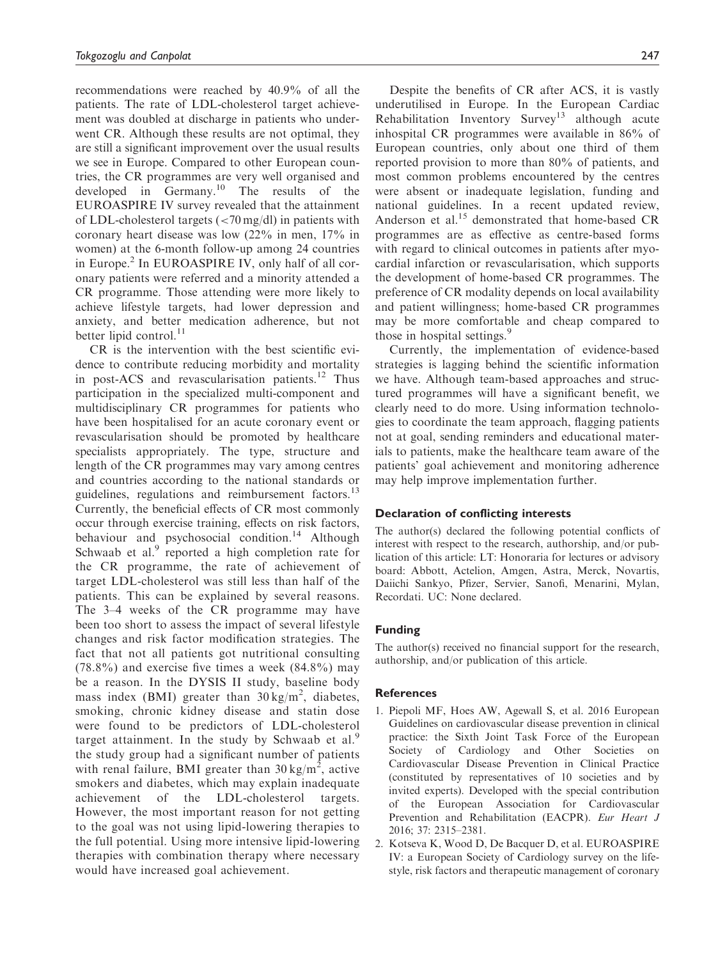recommendations were reached by 40.9% of all the patients. The rate of LDL-cholesterol target achievement was doubled at discharge in patients who underwent CR. Although these results are not optimal, they are still a significant improvement over the usual results we see in Europe. Compared to other European countries, the CR programmes are very well organised and developed in Germany.<sup>10</sup> The results of the EUROASPIRE IV survey revealed that the attainment of LDL-cholesterol targets (<70 mg/dl) in patients with coronary heart disease was low (22% in men, 17% in women) at the 6-month follow-up among 24 countries in Europe.<sup>2</sup> In EUROASPIRE IV, only half of all coronary patients were referred and a minority attended a CR programme. Those attending were more likely to achieve lifestyle targets, had lower depression and anxiety, and better medication adherence, but not better lipid control. $^{11}$ 

CR is the intervention with the best scientific evidence to contribute reducing morbidity and mortality in post-ACS and revascularisation patients.<sup>12</sup> Thus participation in the specialized multi-component and multidisciplinary CR programmes for patients who have been hospitalised for an acute coronary event or revascularisation should be promoted by healthcare specialists appropriately. The type, structure and length of the CR programmes may vary among centres and countries according to the national standards or guidelines, regulations and reimbursement factors.<sup>13</sup> Currently, the beneficial effects of CR most commonly occur through exercise training, effects on risk factors, behaviour and psychosocial condition.<sup>14</sup> Although Schwaab et al.<sup>9</sup> reported a high completion rate for the CR programme, the rate of achievement of target LDL-cholesterol was still less than half of the patients. This can be explained by several reasons. The 3–4 weeks of the CR programme may have been too short to assess the impact of several lifestyle changes and risk factor modification strategies. The fact that not all patients got nutritional consulting  $(78.8\%)$  and exercise five times a week  $(84.8\%)$  may be a reason. In the DYSIS II study, baseline body mass index (BMI) greater than  $30 \text{ kg/m}^2$ , diabetes, smoking, chronic kidney disease and statin dose were found to be predictors of LDL-cholesterol target attainment. In the study by Schwaab et  $al$ .<sup>9</sup> the study group had a significant number of patients with renal failure, BMI greater than  $30 \text{ kg/m}^2$ , active smokers and diabetes, which may explain inadequate achievement of the LDL-cholesterol targets. However, the most important reason for not getting to the goal was not using lipid-lowering therapies to the full potential. Using more intensive lipid-lowering therapies with combination therapy where necessary would have increased goal achievement.

Despite the benefits of CR after ACS, it is vastly underutilised in Europe. In the European Cardiac Rehabilitation Inventory Survey<sup>13</sup> although acute inhospital CR programmes were available in 86% of European countries, only about one third of them reported provision to more than 80% of patients, and most common problems encountered by the centres were absent or inadequate legislation, funding and national guidelines. In a recent updated review, Anderson et al.<sup>15</sup> demonstrated that home-based CR programmes are as effective as centre-based forms with regard to clinical outcomes in patients after myocardial infarction or revascularisation, which supports the development of home-based CR programmes. The preference of CR modality depends on local availability and patient willingness; home-based CR programmes may be more comfortable and cheap compared to those in hospital settings.<sup>9</sup>

Currently, the implementation of evidence-based strategies is lagging behind the scientific information we have. Although team-based approaches and structured programmes will have a significant benefit, we clearly need to do more. Using information technologies to coordinate the team approach, flagging patients not at goal, sending reminders and educational materials to patients, make the healthcare team aware of the patients' goal achievement and monitoring adherence may help improve implementation further.

#### Declaration of conflicting interests

The author(s) declared the following potential conflicts of interest with respect to the research, authorship, and/or publication of this article: LT: Honoraria for lectures or advisory board: Abbott, Actelion, Amgen, Astra, Merck, Novartis, Daiichi Sankyo, Pfizer, Servier, Sanofi, Menarini, Mylan, Recordati. UC: None declared.

#### Funding

The author(s) received no financial support for the research, authorship, and/or publication of this article.

#### **References**

- 1. Piepoli MF, Hoes AW, Agewall S, et al. 2016 European Guidelines on cardiovascular disease prevention in clinical practice: the Sixth Joint Task Force of the European Society of Cardiology and Other Societies on Cardiovascular Disease Prevention in Clinical Practice (constituted by representatives of 10 societies and by invited experts). Developed with the special contribution of the European Association for Cardiovascular Prevention and Rehabilitation (EACPR). Eur Heart J 2016; 37: 2315–2381.
- 2. Kotseva K, Wood D, De Bacquer D, et al. EUROASPIRE IV: a European Society of Cardiology survey on the lifestyle, risk factors and therapeutic management of coronary